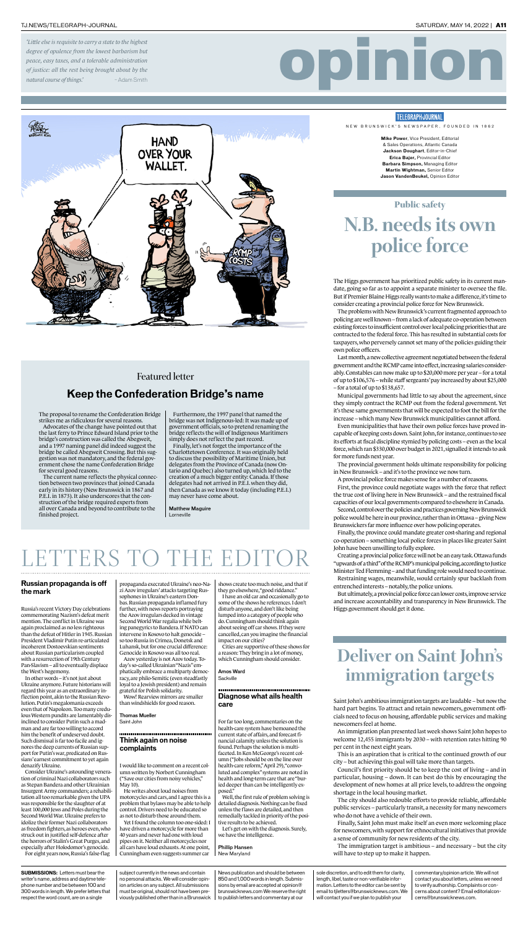#### TJ.NEWS/TELEGRAPH-JOURNAL SATURDAY, MAY 14, 2022 | **A11**

**Mike Power**, Vice President, Editorial & Sales Operations, Atlantic Canada **Jackson Doughart**, Editor-in-Chief **Erica Bajer,** Provincial Editor **Barbara Simpson,** Managing Editor **Martin Wightman,** Senior Editor **Jason VandenBeukel,** Opinion Editor

**SUBMISSIONS:** Letters must bear the writer's name, address and daytime telephone number and be between 100 and 300 words in length. We prefer letters that respect the word count, are on a single

# opinion



NEW BRUNSWICK'S NEWSPAPER, FOUNDED IN 1862

subject currently in the news and contain no personal attacks. We will consider opinion articles on any subject. All submissions must be original, should not have been previously published other than in a Brunswick

News publication and should be between 850 and 1,000 words in length. Submissions by email are accepted at opinion@ brunswicknews.com We reserve the right to publish letters and commentary at our

sole discretion, and to edit them for clarity, length, libel, taste or non-verifiable information. Letters to the editor can be sent by email to tjletters@brunswicknews.com. We will contact you if we plan to publish your

commentary/opinion article. We will not contact you about letters, unless we need to verify authorship. Complaints or concerns about content? Email editorialconcerns@brunswicknews.com.

The Higgs government has prioritized public safety in its current mandate, going so far as to appoint a separate minister to oversee the file. But if Premier Blaine Higgs really wants to make a difference, it's time to consider creating a provincial police force for New Brunswick.

The problems with New Brunswick's current fragmented approach to policing are well known – from a lack of adequate co-operation between existing forces to insufficient control over local policing priorities that are contracted to the federal force. This has resulted in substantial costs for taxpayers, who perversely cannot set many of the policies guiding their own police officers.

Last month, a new collective agreement negotiated between the federal government and the RCMP came into effect, increasing salaries considerably. Constables can now make up to \$20,000 more per year – for a total of up to \$106,576 – while staff sergeants' pay increased by about \$25,000 – for a total of up to \$138,657.

Municipal governments had little to say about the agreement, since they simply contract the RCMP out from the federal government. Yet it's these same governments that will be expected to foot the bill for the increase – which many New Brunswick municipalities cannot afford.

Even municipalities that have their own police forces have proved incapable of keeping costs down. Saint John, for instance, continues to see its efforts at fiscal discipline stymied by policing costs – even as the local force, which ran \$330,000 over budget in 2021, signalled it intends to ask for more funds next year.

The provincial government holds ultimate responsibility for policing in New Brunswick – and it's to the province we now turn.

A provincial police force makes sense for a number of reasons.

First, the province could negotiate wages with the force that reflect the true cost of living here in New Brunswick – and the restrained fiscal capacities of our local governments compared to elsewhere in Canada.

Second, control over the policies and practices governing New Brunswick police would be here in our province, rather than in Ottawa – giving New Brunswickers far more influence over how policing operates. Finally, the province could mandate greater cost-sharing and regional co-operation – something local police forces in places like greater Saint John have been unwilling to fully explore. Creating a provincial police force will not be an easy task. Ottawa funds "upwards of a third" of the RCMP's municipal policing, according to Justice Minister Ted Flemming – and that funding role would need to continue. Restraining wages, meanwhile, would certainly spur backlash from entrenched interests – notably, the police unions.

### ETTERS TO THE EDI

But ultimately, a provincial police force can lower costs, improve service and increase accountability and transparency in New Brunswick. The Higgs government should get it done.

### Public safety **N.B. needs its own police force**

Saint John's ambitious immigration targets are laudable – but now the hard part begins. To attract and retain newcomers, government officials need to focus on housing, affordable public services and making newcomers feel at home.

An immigration plan presented last week shows Saint John hopes to welcome 12,455 immigrants by 2030 – with retention rates hitting 90 per cent in the next eight years.

This is an aspiration that is critical to the continued growth of our city – but achieving this goal will take more than targets.

Council's first priority should be to keep the cost of living – and in particular, housing – down. It can best do this by encouraging the development of new homes at all price levels, to address the ongoing shortage in the local housing market.

The city should also redouble efforts to provide reliable, affordable public services – particularly transit, a necessity for many newcomers who do not have a vehicle of their own.

Finally, Saint John must make itself an even more welcoming place for newcomers, with support for ethnocultural initiatives that provide a sense of community for new residents of the city.

The immigration target is ambitious – and necessary – but the city will have to step up to make it happen.

shows create too much noise, and that if they go elsewhere, "good riddance."

### **Deliver on Saint John's immigration targets**

*'Little else is requisite to carry a state to the highest degree of opulence from the lowest barbarism but peace, easy taxes, and a tolerable administration of justice: all the rest being brought about by the natural course of things.'* – Adam Smith

Amos Ward **Sackville** 

#### **Think again on noise complaints**

I would like to comment on a recent column written by Norbert Cunningham ("Save our cities from noisy vehicles," May 10).

He writes about loud noises from motorcycles and cars, and I agree this is a problem that bylaws may be able to help control. Drivers need to be educated so as not to disturb those around them.

Yet I found the column too one-sided: I have driven a motorcycle for more than 40 years and never had one with loud pipes on it. Neither all motorcycles nor all cars have loud exhausts. At one point, Cunningham even suggests summer car

#### **Russian propaganda is off the mark**

Russia's recent Victory Day celebrations commemorating Nazism's defeat merit mention. The conflict in Ukraine was again proclaimed as no less righteous than the defeat of Hitler in 1945. Russian President Vladimir Putin re-articulated incoherent Dostoevskian sentiments about Russian particularism coupled with a resurrection of 19th Century Pan-Slavism – all to eventually displace the West's hegemony.

In other words – it's not just about Ukraine anymore. Future historians will regard this year as an extraordinary inflection point, akin to the Russian Revolution.Putin's megalomania exceeds even that of Napoleon. Too many credulous Western pundits are lamentably disinclined to consider Putin such a madman and are far too willing to accord him the benefit of undeserved doubt. Such dismissal is far too facile and ignores the deep currents of Russian support for Putin's war, predicated on Russians' earnest commitment to yet again denazify Ukraine.

Consider Ukraine's astounding veneration of criminal Nazi collaborators such as Stepan Bandera and other Ukrainian Insurgent Army commanders; a rehabilitation all too remarkable given the UPA was responsible for the slaughter of at least 100,000 Jews and Poles during the Second World War. Ukraine prefers to idolize their former Nazi collaborators as freedom fighters, as heroes even, who struck out in justified self-defence after the horrors of Stalin's Great Purges, and especially after Holodomor's genocide. For eight years now, Russia's false-flag

#### **Diagnose what ails health care**

For far too long, commentaries on the health-care system have bemoaned the current state of affairs, and forecast financial calamity unless the solution is found. Perhaps the solution is multifaceted. In Ken McGeorge's recent column ("Jobs should be on the line over health-care reform," April 29), "convoluted and complex" systems are noted in health and long-term care that are "buried deeper than can be intelligently exposed."

Well, the first rule of problem solving is detailed diagnosis. Nothing can be fixed unless the flaws are detailed, and then remedially tackled in priority of the positive results to be achieved. Let's get on with the diagnosis. Surely,

we have the intelligence.

Phillip Hansen New Maryland

propaganda execrated Ukraine's neo-Nazi Azov irregulars' attacks targeting Russophones in Ukraine's eastern Donbas. Russian propaganda inflamed fury further, with news reports portraying the Azov irregulars decked in vintage Second World War regalia while belting panegyrics to Bandera. If NATO can intervene in Kosovo to halt genocide – so too Russia in Crimea, Donetsk and Luhansk, but for one crucial difference: Genocide in Kosovo was all too real.

Azov yesterday is not Azov today. Today's so-called Ukrainian "Nazis" emphatically embrace a multiparty democracy, are philo-Semitic (even steadfastly loyal to a Jewish president) and remain grateful for Polish solidarity.

Wow! Rearview mirrors are smaller than windshields for good reason.

Thomas Mueller Saint John

The proposal to rename the Confederation Bridge strikes me as ridiculous for several reasons.

Advocates of the change have pointed out that the last ferry to Prince Edward Island prior to the bridge's construction was called the Abegweit, and a 1997 naming panel did indeed suggest the bridge be called Abegweit Crossing. But this suggestion was not mandatory, and the federal government chose the name Confederation Bridge for several good reasons.

The current name reflects the physical connection between two provinces that joined Canada early in its history (New Brunswick in 1867 and P.E.I. in 1873). It also underscores that the construction of the bridge required experts from all over Canada and beyond to contribute to the finished project.

Furthermore, the 1997 panel that named the bridge was not Indigenous-led: It was made up of government officials, so to pretend renaming the bridge reflects the will of Indigenous Maritimers simply does not reflect the past record.

Finally, let's not forget the importance of the Charlottetown Conference. It was originally held to discuss the possibility of Maritime Union, but delegates from the Province of Canada (now Ontario and Quebec) also turned up, which led to the creation of a much bigger entity: Canada. If those delegates had not arrived in P.E.I. when they did, then Canada as we know it today (including P.E.I.) may never have come about.

Matthew Maguire Lorneville

#### **TELEGRAPH-JOURNAL**

#### **Keep the Confederation Bridge's name**

#### **Featured letter**

I have an old car and occasionally go to some of the shows he references. I don't disturb anyone, and don't like being lumped into a category of people who do. Cunningham should think again about seeing off car shows. If they were cancelled, can you imagine the financial impact on our cities?

Cities are supportive of these shows for a reason: They bring in a lot of money, which Cunningham should consider.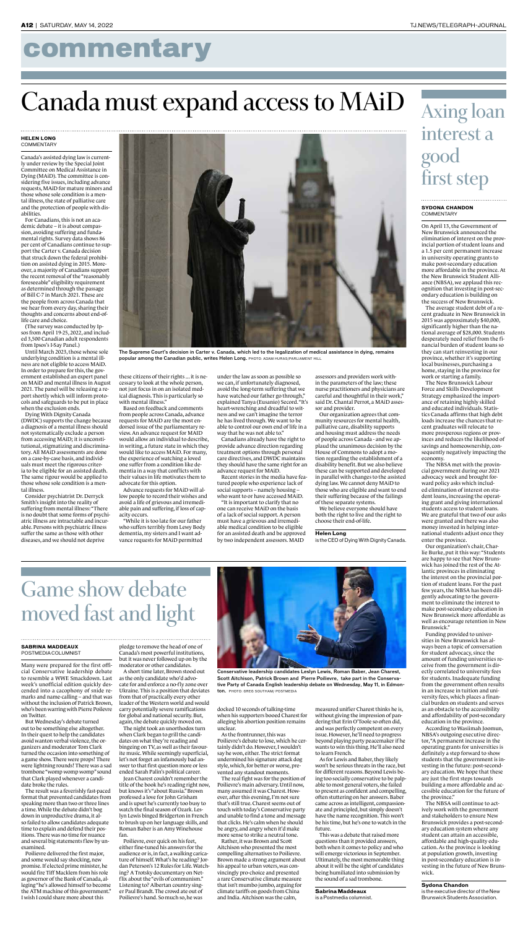#### **SYDONA CHANDON COMMENTARY**

## commentary

### **Axing loan interest a good first step**

#### **SABRINA MADDEAUX** POSTMEDIA COLUMNIST

### **Game show debate moved fast and light**

Many were prepared for the first official Conservative leadership debate to resemble a WWE Smackdown. Last week's unofficial edition quickly descended into a cacophony of snide remarks and name-calling – and that was without the inclusion of Patrick Brown, who's been warring with Pierre Poilevre on Twitter.

But Wednesday's debate turned out to be something else altogether. In their quest to help the candidates avoid wanton verbal violence, the organizers and moderator Tom Clark turned the occasion into something of a game show. There were props! There were lightning rounds! There was a sad trombone "womp womp womp" sound that Clark played whenever a candidate broke the rules.

The result was a feverishly fast-paced format that prevented candidates from speaking more than two or three lines a time. While the debate didn't bog down in unproductive drama, it also failed to allow candidates adequate time to explain and defend their positions. There was no time for nuance and several big statements flew by unexamined.

Poilievre delivered the first major, and some would say shocking, new promise. If elected prime minister, he would fire Tiff Macklem from his role as governor of the Bank of Canada, alleging "he's allowed himself to become the ATM machine of this government." I wish I could share more about this

pledge to remove the head of one of Canada's most powerful institutions, but it was never followed up on by the moderator or other candidates.

A short time later, Brown stood out as the only candidate who'd advocate for and enforce a no-fly zone over Ukraine. This is a position that deviates from that of practically every other leader of the Western world and would carry potentially severe ramifications for global and national security. But, again, the debate quickly moved on.

The night took an unorthodox turn when Clark began to grill the candidates on what they're reading and bingeing on TV, as well as their favourite music. While seemingly superficial, let's not forget an infamously bad answer to that first question more or less ended Sarah Palin's political career.

Jean Charest couldn't remember the title of the book he's reading right now, but knows it's "about Russia." Brown professed a love for John Grisham and is upset he's currently too busy to watch the final season of Ozark. Leslyn Lewis binged Bridgerton in French to brush up on her language skills, and Roman Baber is an Amy Winehouse fan.

Poilievre, ever quick on his feet, either fine-tuned his answers for the audience or is, in fact, a walking caricature of himself. What's he reading? Jordan Peterson's 12 Rules for Life. Watching? A Trotsky documentary on Netflix about the "evils of communism." Listening to? Albertan country singer Paul Brandt. The crowd ate out of Poilievre's hand. So much so, he was

docked 10 seconds of talking-time when his supporters booed Charest for alleging his abortion position remains unclear.

As the frontrunner, this was Poilievre's debate to lose, which he certainly didn't do. However, I wouldn't say he won, either. The strict format undermined his signature attack dog style, which, for better or worse, prevented any standout moments.

The real fight was for the position of Poilievre's main adversary. Until now, many assumed it was Charest. However, after this evening, I'm not sure that's still true. Charest seems out of touch with today's Conservative party and unable to find a tone and message that clicks. He's calm when he should be angry, and angry when it'd make more sense to strike a neutral tone.

Rather, it was Brown and Scott Aitchison who presented the most compelling alternatives to Poilievre. Brown made a strong argument about his appeal to urban voters, was convincingly pro-choice and presented a rare Conservative climate measure that isn't mumbo jumbo, arguing for climate tariffs on goods from China and India. Aitchison was the calm,

measured unifier Charest thinks he is, without giving the impression of pandering that Erin O'Toole so often did, and was perfectly competent on every issue. However, he'll need to progress beyond playing party peacemaker if he wants to win this thing. He'll also need to learn French.

#### **HELEN LONG COMMENTARY**

As for Lewis and Baber, they likely won't be serious threats in the race, but for different reasons. Beyond Lewis being too socially conservative to be palpable to most general voters, she failed to present as confident and compelling, often stuttering on her answers. Baber came across as intelligent, compassionate and principled, but simply doesn't have the name recognition. This won't be his time, but he's one to watch in the future.

This was a debate that raised more questions than it provided answers, both when it comes to policy and who will emerge victorious in September. Ultimately, the most memorable thing about it will be the sight of candidates being humiliated into submission by the sound of a sad trombone.

#### **Sabrina Maddeaux**

is a Postmedia columnist.

On April 13, the Government of New Brunswick announced the elimination of interest on the provincial portion of student loans and a 1.5 per cent permanent increase in university operating grants to make post-secondary education more affordable in the province. At the New Brunswick Student Alliance (NBSA), we applaud this recognition that investing in post-secondary education is building on the success of New Brunswick.

The average student debt of a recent graduate in New Brunswick in 2015 was approximately \$40,000, significantly higher than the national average of \$28,000. Students desperately need relief from the financial burden of student loans so they can start reinvesting in our province, whether it's supporting local businesses, purchasing a home, staying in the province for work or starting a family.

The New Brunswick Labour Force and Skills Development Strategy emphasized the importance of retaining highly skilled and educated individuals. Statistics Canada affirms that high debt loads increase the chances that recent graduates will relocate to more prosperous regions or provinces and reduces the likelihood of savings and homeownership, consequently negatively impacting the economy.

The NBSA met with the provincial government during our 2021 advocacy week and brought forward policy asks which included elimination of interest on student loans, increasing the operating grant and giving international students access to student loans. We are grateful that two of our asks were granted and there was also money invested in helping international students adjust once they enter the province. Our organization's chair, Charlie Burke, put it this way: "Students are happy to see that New Brunswick has joined the rest of the Atlantic provinces in eliminating the interest on the provincial portion of student loans. For the past few years, the NBSA has been diligently advocating to the government to eliminate the interest to make post-secondary education in New Brunswick more affordable as well as encourage retention in New Brunswick." Funding provided to universities in New Brunswick has always been a topic of conversation for student advocacy, since the amount of funding universities receive from the government is directly correlated to university fees for students. Inadequate funding from the government often results in an increase in tuition and university fees, which places a financial burden on students and serves as an obstacle to the accessibility and affordability of post-secondary education in the province. According to Wasiimah Joomun, NBSA's outgoing executive director, "A permanent increase in the operating grants for universities is definitely a step forward to show students that the government is investing in the future: post-secondary education. We hope that these are just the first steps towards building a more affordable and accessible education for the future of the province." The NBSA will continue to actively work with the government and stakeholders to ensure New Brunswick provides a post-secondary education system where any student can attain an accessible, affordable and high-quality education. As the province is looking at population growth, investing in post-secondary education is investing in the future of New Brunswick.

#### **Sydona Chandon**

is the executive director of the New Brunswick Students Association.



The Supreme Court's decision in Carter v. Canada, which led to the legalization of medical assistance in dying, remains popular among the Canadian public, writes Helen Long. PHOTO: ADAM HURAS/PARLIAMENT HILL

Canada's assisted dying law is currently under review by the Special Joint Committee on Medical Assistance in Dying (MAiD). The committee is considering five issues, including advance requests, MAiD for mature minors and those whose sole condition is a mental illness, the state of palliative care and the protection of people with disabilities.

For Canadians, this is not an academic debate – it is about compassion, avoiding suffering and fundamental rights. Survey data shows 86 per cent of Canadians continue to support the Carter v. Canada decision that struck down the federal prohibition on assisted dying in 2015. Moreover, a majority of Canadians support the recent removal of the "reasonably foreseeable" eligibility requirement as determined through the passage of Bill C-7 in March 2021. These are the people from across Canada that we hear from every day, sharing their thoughts and concerns about end-oflife care and choice.

(The survey was conducted by Ipsos from April 19-25, 2022, and included 3,500 Canadian adult respondents from Ipsos's I-Say Panel.)

Until March 2023, those whose sole underlying condition is a mental illness are not eligible to access MAiD. In order to prepare for this, the government established an expert panel on MAiD and mental illness in August 2021. The panel will be releasing a report shortly which will inform protocols and safeguards to be put in place when the exclusion ends.

Dying With Dignity Canada (DWDC) supports the change because a diagnosis of a mental illness should not systematically exclude a person from accessing MAiD; it is unconstitutional, stigmatizing and discriminatory. All MAiD assessments are done on a case-by-case basis, and individuals must meet the rigorous criteria to be eligible for an assisted death. The same rigour would be applied to those whose sole condition is a mental illness.

Consider psychiatrist Dr. Derryck Smith's insight into the reality of suffering from mental illness: "There is no doubt that some forms of psychiatric illness are intractable and incur-

able. Persons with psychiatric illness suffer the same as those with other diseases, and we should not deprive

these citizens of their rights ... it is necessary to look at the whole person, not just focus in on an isolated medical diagnosis. This is particularly so with mental illness."

Based on feedback and comments from people across Canada, advance requests for MAiD are the most endorsed issue of the parliamentary review. An advance request for MAID would allow an individual to describe, in writing, a future state in which they would like to access MAiD. For many, the experience of watching a loved one suffer from a condition like dementia in a way that conflicts with their values in life motivates them to advocate for this option.

Advance requests for MAiD will allow people to record their wishes and avoid a life of grievous and irremediable pain and suffering, if loss of capacity occurs.

"While it is too late for our father who suffers terribly from Lewy Body dementia, my sisters and I want advance requests for MAiD permitted

under the law as soon as possible so we can, if unfortunately diagnosed, avoid the long-term suffering that we have watched our father go through," explained Tanya (Eusanio) Secord. "It's heart-wrenching and dreadful to witness and we can't imagine the terror he has lived through. We want to be able to control our own end of life in a way that he was not able to."

Canadians already have the right to provide advance direction regarding treatment options through personal care directives, and DWDC maintains they should have the same right for an advance request for MAiD.

Recent stories in the media have featured people who experience lack of social supports – namely housing – who want to or have accessed MAiD.

"It is important to clarify that no one can receive MAiD on the basis of a lack of social support. A person must have a grievous and irremediable medical condition to be eligible for an assisted death and be approved by two independent assessors. MAID

assessors and providers work within the parameters of the law; these nurse practitioners and physicians are careful and thoughtful in their work," said Dr. Chantal Perrot, a MAiD assessor and provider.

Our organization agrees that community resources for mental health, palliative care, disability supports and housing must address the needs of people across Canada - and we applaud the unanimous decision by the House of Commons to adopt a motion regarding the establishment of a disability benefit. But we also believe these can be supported and developed in parallel with changes to the assisted dying law. We cannot deny MAiD to those who are eligible and want to end their suffering because of the failings of these separate systems.

We believe everyone should have both the right to live and the right to choose their end-of-life.

**Helen Long**

is the CEO of Dying With Dignity Canada.

# **Canada must expand access to MAiD**



Conservative leadership candidates Leslyn Lewis, Roman Baber, Jean Charest, Scott Aitchison, Patrick Brown and Pierre Poilievre, take part in the Conservative Party of Canada English leadership debate on Wednesday, May 11, in Edmonton. PHOTO: GREG SOUTHAM/ POSTMEDIA